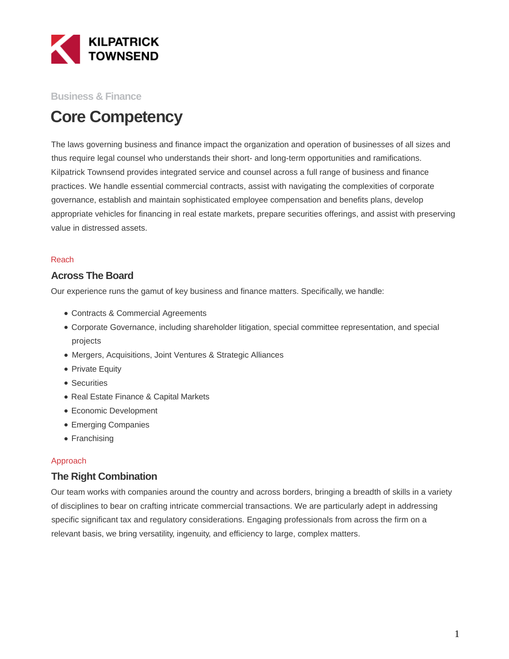

#### **Business & Finance**

# **Core Competency**

The laws governing business and finance impact the organization and operation of businesses of all sizes and thus require legal counsel who understands their short- and long-term opportunities and ramifications. Kilpatrick Townsend provides integrated service and counsel across a full range of business and finance practices. We handle essential commercial contracts, assist with navigating the complexities of corporate governance, establish and maintain sophisticated employee compensation and benefits plans, develop appropriate vehicles for financing in real estate markets, prepare securities offerings, and assist with preserving value in distressed assets.

#### Reach

#### **Across The Board**

Our experience runs the gamut of key business and finance matters. Specifically, we handle:

- Contracts & Commercial Agreements
- Corporate Governance, including shareholder litigation, special committee representation, and special projects
- Mergers, Acquisitions, Joint Ventures & Strategic Alliances
- Private Equity
- Securities
- Real Estate Finance & Capital Markets
- Economic Development
- Emerging Companies
- Franchising

#### Approach

#### **The Right Combination**

Our team works with companies around the country and across borders, bringing a breadth of skills in a variety of disciplines to bear on crafting intricate commercial transactions. We are particularly adept in addressing specific significant tax and regulatory considerations. Engaging professionals from across the firm on a relevant basis, we bring versatility, ingenuity, and efficiency to large, complex matters.